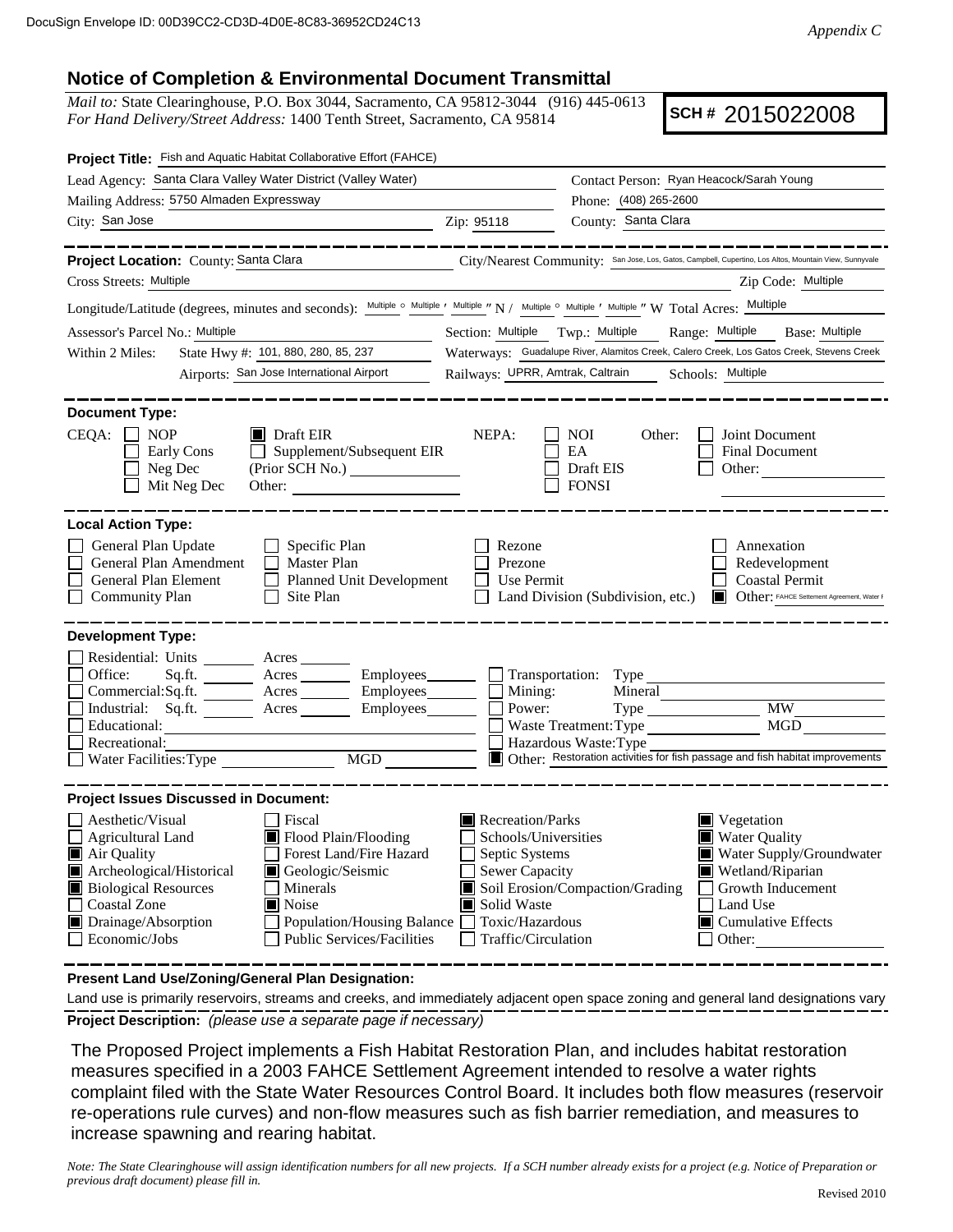## **Notice of Completion & Environmental Document Transmittal**

*Mail to:* State Clearinghouse, P.O. Box 3044, Sacramento, CA 95812-3044 (916) 445-0613 *For Hand Delivery/Street Address:* 1400 Tenth Street, Sacramento, CA 95814

**SCH #** 2015022008

| Project Title: Fish and Aquatic Habitat Collaborative Effort (FAHCE)                                                                                                                                                                                                                                                                                                                   |                                                                                                                                                                   |                                                                                                                                                                                                                               |  |
|----------------------------------------------------------------------------------------------------------------------------------------------------------------------------------------------------------------------------------------------------------------------------------------------------------------------------------------------------------------------------------------|-------------------------------------------------------------------------------------------------------------------------------------------------------------------|-------------------------------------------------------------------------------------------------------------------------------------------------------------------------------------------------------------------------------|--|
| Lead Agency: Santa Clara Valley Water District (Valley Water)                                                                                                                                                                                                                                                                                                                          |                                                                                                                                                                   | Contact Person: Ryan Heacock/Sarah Young<br>Phone: (408) 265-2600                                                                                                                                                             |  |
| Mailing Address: 5750 Almaden Expressway                                                                                                                                                                                                                                                                                                                                               |                                                                                                                                                                   |                                                                                                                                                                                                                               |  |
| City: San Jose<br><u> 1990 - Johann Barbara, martin a</u>                                                                                                                                                                                                                                                                                                                              | Zip: 95118                                                                                                                                                        | County: Santa Clara                                                                                                                                                                                                           |  |
| _______                                                                                                                                                                                                                                                                                                                                                                                |                                                                                                                                                                   |                                                                                                                                                                                                                               |  |
| Project Location: County: Santa Clara                                                                                                                                                                                                                                                                                                                                                  |                                                                                                                                                                   | City/Nearest Community: San Jose, Los, Gatos, Campbell, Cupertino, Los Altos, Mountain View, Sunnyvale                                                                                                                        |  |
| Cross Streets: Multiple                                                                                                                                                                                                                                                                                                                                                                |                                                                                                                                                                   | Zip Code: Multiple                                                                                                                                                                                                            |  |
| Longitude/Latitude (degrees, minutes and seconds): Multiple o Multiple ' Multiple " N / Multiple o Multiple ' Multiple " W Total Acres: Multiple                                                                                                                                                                                                                                       |                                                                                                                                                                   |                                                                                                                                                                                                                               |  |
| Assessor's Parcel No.: Multiple                                                                                                                                                                                                                                                                                                                                                        | Section: Multiple Twp.: Multiple<br>Range: Multiple<br>Base: Multiple<br>Waterways: Guadalupe River, Alamitos Creek, Calero Creek, Los Gatos Creek, Stevens Creek |                                                                                                                                                                                                                               |  |
| State Hwy #: 101, 880, 280, 85, 237<br>Within 2 Miles:                                                                                                                                                                                                                                                                                                                                 |                                                                                                                                                                   |                                                                                                                                                                                                                               |  |
| Airports: San Jose International Airport                                                                                                                                                                                                                                                                                                                                               | Railways: UPRR, Amtrak, Caltrain                                                                                                                                  | Schools: Multiple                                                                                                                                                                                                             |  |
| <b>Document Type:</b>                                                                                                                                                                                                                                                                                                                                                                  |                                                                                                                                                                   |                                                                                                                                                                                                                               |  |
| CEQA:<br><b>NOP</b><br>$\blacksquare$ Draft EIR<br>$\Box$ Supplement/Subsequent EIR<br>Early Cons<br>Neg Dec<br>Mit Neg Dec<br>Other: $\qquad \qquad$                                                                                                                                                                                                                                  | NEPA:                                                                                                                                                             | NOI.<br>Other:<br>Joint Document<br>EA<br>Final Document<br>Draft EIS<br>Other:<br><b>FONSI</b>                                                                                                                               |  |
| <b>Local Action Type:</b>                                                                                                                                                                                                                                                                                                                                                              |                                                                                                                                                                   |                                                                                                                                                                                                                               |  |
| General Plan Update<br>$\Box$<br>Specific Plan<br>General Plan Amendment<br><b>Master Plan</b><br>$\Box$<br>Planned Unit Development<br>General Plan Element<br>Site Plan<br><b>Community Plan</b>                                                                                                                                                                                     | Rezone<br>Prezone<br>Use Permit                                                                                                                                   | Annexation<br>Redevelopment<br><b>Coastal Permit</b><br>Land Division (Subdivision, etc.)<br>Other: FAHCE Settement Agreement, Water F                                                                                        |  |
| <b>Development Type:</b>                                                                                                                                                                                                                                                                                                                                                               |                                                                                                                                                                   |                                                                                                                                                                                                                               |  |
| Residential: Units _______ Acres _____<br>Office:<br>Acres __________ Employees_________ __ Transportation: Type _____<br>Sq.ft.<br>Acres Employees<br>Commercial:Sq.ft.<br>Industrial: Sq.ft. <u>Acres</u> Acres Employees<br>Educational:<br>Recreational:<br>MGD NGD<br>Water Facilities: Type                                                                                      | Mining:<br>Power:                                                                                                                                                 | Mineral<br>MGD<br>Waste Treatment: Type<br>Hazardous Waste: Type<br>Other: Restoration activities for fish passage and fish habitat improvements                                                                              |  |
| <b>Project Issues Discussed in Document:</b>                                                                                                                                                                                                                                                                                                                                           |                                                                                                                                                                   |                                                                                                                                                                                                                               |  |
| Aesthetic/Visual<br>Fiscal<br>Agricultural Land<br>Flood Plain/Flooding<br>Forest Land/Fire Hazard<br>$\blacksquare$ Air Quality<br>Archeological/Historical<br>Geologic/Seismic<br><b>Biological Resources</b><br>Minerals<br><b>Coastal Zone</b><br>Noise<br>Drainage/Absorption<br>Population/Housing Balance Toxic/Hazardous<br>Economic/Jobs<br><b>Public Services/Facilities</b> | Recreation/Parks<br>Schools/Universities<br>Septic Systems<br>$\Box$ Sewer Capacity<br>Solid Waste<br>Traffic/Circulation                                         | $\blacksquare$ Vegetation<br>Water Quality<br>Water Supply/Groundwater<br>Wetland/Riparian<br>Soil Erosion/Compaction/Grading<br>Growth Inducement<br>Land Use<br>$\blacksquare$ Cumulative Effects<br>Other:<br>$\mathsf{L}$ |  |

**Present Land Use/Zoning/General Plan Designation:**

**Project Description:** *(please use a separate page if necessary)* Land use is primarily reservoirs, streams and creeks, and immediately adjacent open space zoning and general land designations vary

 The Proposed Project implements a Fish Habitat Restoration Plan, and includes habitat restoration measures specified in a 2003 FAHCE Settlement Agreement intended to resolve a water rights complaint filed with the State Water Resources Control Board. It includes both flow measures (reservoir re-operations rule curves) and non-flow measures such as fish barrier remediation, and measures to increase spawning and rearing habitat.

*Note: The State Clearinghouse will assign identification numbers for all new projects. If a SCH number already exists for a project (e.g. Notice of Preparation or previous draft document) please fill in.*